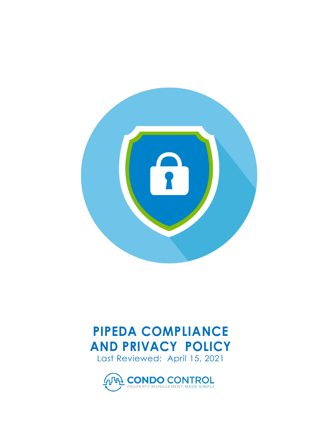

## **PIPEDA COMPLIANCE AND PRIVACY POLICY** Last Reviewed: April 15, 2021

**THE CONDO CONTROL**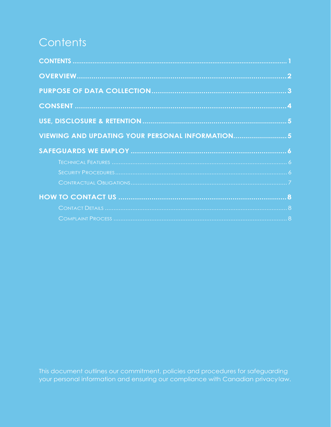# <span id="page-1-0"></span>Contents

| VIEWING AND UPDATING YOUR PERSONAL INFORMATION5 |  |
|-------------------------------------------------|--|
|                                                 |  |
|                                                 |  |
|                                                 |  |
|                                                 |  |
|                                                 |  |
|                                                 |  |
|                                                 |  |

This document outlines our commitment, policies and procedures for safeguarding your personal information and ensuring our compliance with Canadian privacylaw.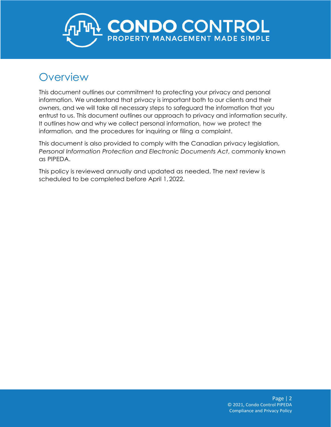<span id="page-2-0"></span>

#### **Overview**

This document outlines our commitment to protecting your privacy and personal information. We understand that privacy is important both to our clients and their owners, and we will take all necessary steps to safeguard the information that you entrust to us. This document outlines our approach to privacy and information security. It outlines how and why we collect personal information, how we protect the information, and the procedures for inquiring or filing a complaint.

This document is also provided to comply with the Canadian privacy legislation, *Personal Information Protection and Electronic Documents Act*, commonly known as PIPEDA.

This policy is reviewed annually and updated as needed. The next review is scheduled to be completed before April 1,2022.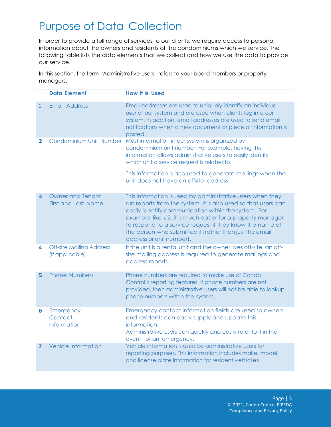## <span id="page-3-0"></span>Purpose of Data Collection

In order to provide a full range of services to our clients, we require access to personal information about the owners and residents of the condominiums which we service. The following table lists the data elements that we collect and how we use the data to provide our service.

In this section, the term "Administrative Users" refers to your board members or property managers.

|                         | <b>Data Element</b>                                   | <b>How It Is Used</b>                                                                                                                                                                                                                                                                                                                                                                                 |
|-------------------------|-------------------------------------------------------|-------------------------------------------------------------------------------------------------------------------------------------------------------------------------------------------------------------------------------------------------------------------------------------------------------------------------------------------------------------------------------------------------------|
| $\mathbf{1}$            | <b>Email Address</b>                                  | Email addresses are used to uniquely identify an individual<br>user of our system and are used when clients log into our<br>system. In addition, email addresses are used to send email<br>notifications when a new document or piece of information is<br>posted.                                                                                                                                    |
| 2                       | Condominium Unit Number                               | Most information in our system is organized by<br>condominium unit number. For example, having this<br>information allows administrative users to easily identify<br>which unit a service request is related to.                                                                                                                                                                                      |
|                         |                                                       | This information is also used to generate mailings when the<br>unit does not have an offsite address.                                                                                                                                                                                                                                                                                                 |
| $\overline{\mathbf{3}}$ | <b>Owner and Tenant</b><br><b>First and Last Name</b> | This information is used by administrative users when they<br>run reports from the system. It is also used so that users can<br>easily identify communication within the system. For<br>example, like #2, it is much easier for a property manager<br>to respond to a service request if they know the name of<br>the person who submitted it (rather than just the email<br>address or unit number). |
| 4                       | <b>Off-site Mailing Address</b><br>(If applicable)    | If the unit is a rental unit and the owner lives off-site, an off-<br>site mailing address is required to generate mailings and<br>address reports.                                                                                                                                                                                                                                                   |
| 5                       | <b>Phone Numbers</b>                                  | Phone numbers are required to make use of Condo<br>Control's reporting features. If phone numbers are not<br>provided, then administrative users will not be able to lookup<br>phone numbers within the system.                                                                                                                                                                                       |
| 6                       | Emergency<br>Contact<br>Information                   | Emergency contact information fields are used so owners<br>and residents can easily supply and update this<br>information.<br>Administrative users can quickly and easily refer to it in the<br>event of an emergency.                                                                                                                                                                                |
| 7                       | Vehicle Information                                   | Vehicle information is used by administrative users for<br>reporting purposes. This information includes make, model,<br>and license plate information for resident vehicles.                                                                                                                                                                                                                         |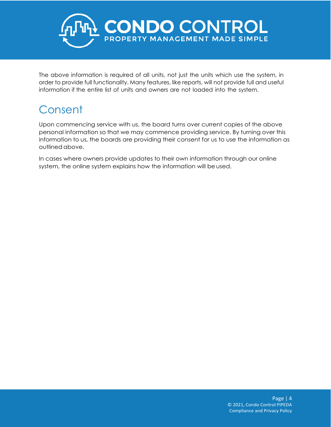

The above information is required of all units, not just the units which use the system, in order to provide full functionality. Many features, like reports, will not provide full and useful information if the entire list of units and owners are not loaded into the system.

# <span id="page-4-0"></span>Consent

Upon commencing service with us, the board turns over current copies of the above personal information so that we may commence providing service. By turning over this information to us, the boards are providing their consent for us to use the information as outlined above.

In cases where owners provide updates to their own information through our online system, the online system explains how the information will be used.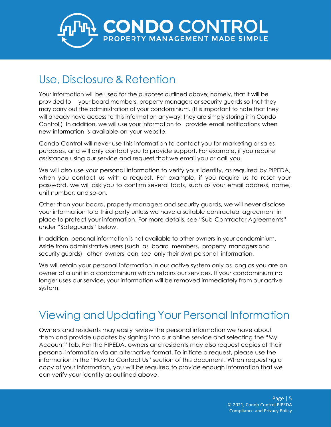<span id="page-5-0"></span>

### Use, Disclosure & Retention

Your information will be used for the purposes outlined above; namely, that it will be provided to your board members, property managers or security guards so that they may carry out the administration of your condominium. (It is important to note that they will already have access to this information anyway; they are simply storing it in Condo Control.) In addition, we will use your information to provide email notifications when new information is available on your website.

Condo Control will never use this information to contact you for marketing or sales purposes, and will only contact you to provide support. For example, if you require assistance using our service and request that we email you or call you.

We will also use your personal information to verify your identity, as required by PIPEDA, when you contact us with a request. For example, if you require us to reset your password, we will ask you to confirm several facts, such as your email address, name, unit number, and so-on.

Other than your board, property managers and security guards, we will never disclose your information to a third party unless we have a suitable contractual agreement in place to protect your information. For more details, see "Sub-Contractor Agreements" under "Safeguards" below.

In addition, personal information is not available to other owners in your condominium. Aside from administrative users (such as board members, property managers and security guards), other owners can see only their own personal information.

We will retain your personal information in our active system only as long as you are an owner of a unit in a condominium which retains our services. If your condominium no longer uses our service, your information will be removed immediately from our active system.

### <span id="page-5-1"></span>Viewing and Updating Your Personal Information

Owners and residents may easily review the personal information we have about them and provide updates by signing into our online service and selecting the "My Account" tab. Per the PIPEDA, owners and residents may also request copies of their personal information via an alternative format. To initiate a request, please use the information in the "How to Contact Us" section of this document. When requesting a copy of your information, you will be required to provide enough information that we can verify your identity as outlined above.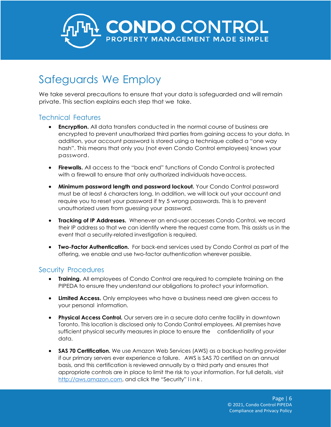

## Safeguards We Employ

We take several precautions to ensure that your data is safeguarded and will remain private. This section explains each step that we take.

#### <span id="page-6-0"></span>Technical Features

- **Encryption.** All data transfers conducted in the normal course of business are encrypted to prevent unauthorized third parties from gaining access to your data. In addition, your account password is stored using a technique called a "one way hash". This means that only you (not even Condo Control employees) knows your password.
- **Firewalls.** All access to the "back end" functions of Condo Control is protected with a firewall to ensure that only authorized individuals haveaccess.
- **Minimum password length and password lockout.** Your Condo Control password must be at least 6 characters long. In addition, we will lock out your account and require you to reset your password if try 5 wrong passwords. This is to prevent unauthorized users from guessing your password.
- **Tracking of IP Addresses.** Whenever an end-user accesses Condo Control, we record their IP address so that we can identify where the request came from. This assists us in the event that a security-related investigation is required.
- **Two-Factor Authentication.** For back-end services used by Condo Control as part of the offering, we enable and use two-factor authentication wherever possible.

#### <span id="page-6-1"></span>Security Procedures

- **Training.** All employees of Condo Control are required to complete training on the PIPEDA to ensure they understand our obligations to protect your information.
- **Limited Access.** Only employees who have a business need are given access to your personal information.
- **Physical Access Control.** Our servers are in a secure data centre facility in downtown Toronto. This location is disclosed only to Condo Control employees. All premises have sufficient physical security measures in place to ensure the confidentiality of your data.
- **SAS 70 Certification.** We use Amazon Web Services (AWS) as a backup hosting provider if our primary servers ever experience a failure. AWS is SAS 70 certified on an annual basis, and this certification is reviewed annually by a third party and ensures that appropriate controls are in place to limit the risk to your information. For full details, visit [http://aws.amazon.com,](http://aws.amazon.com/) and click the "Security" link.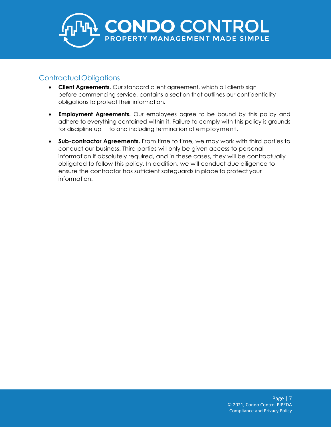

#### Contractual Obligations

- **Client Agreements.** Our standard client agreement, which all clients sign before commencing service, contains a section that outlines our confidentiality obligations to protect their information.
- **Employment Agreements.** Our employees agree to be bound by this policy and adhere to everything contained within it. Failure to comply with this policy is grounds for discipline up to and including termination of employment.
- **Sub-contractor Agreements.** From time to time, we may work with third parties to conduct our business. Third parties will only be given access to personal information if absolutely required, and in these cases, they will be contractually obligated to follow this policy. In addition, we will conduct due diligence to ensure the contractor has sufficient safeguards in place to protect your information.